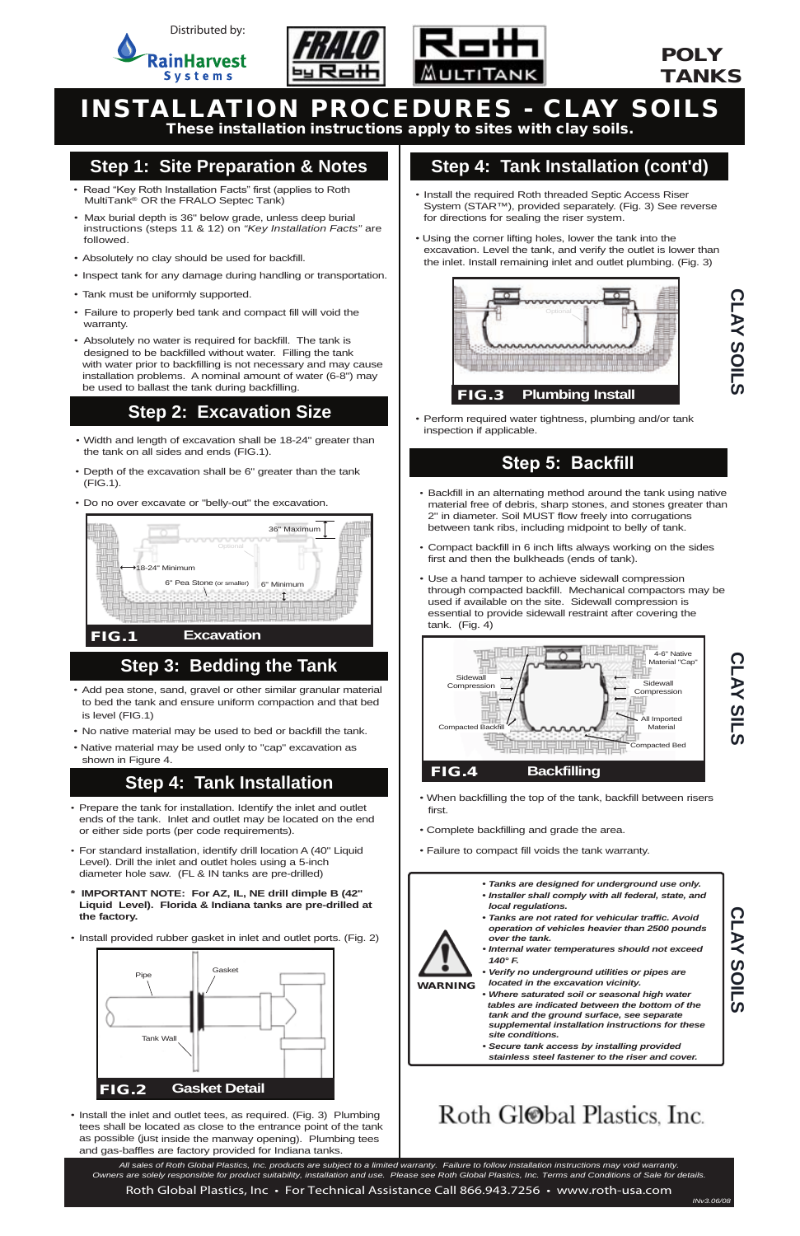

- *•* Width and length of excavation shall be 18-24" greater than the tank on all sides and ends (FIG.1).
- Depth of the excavation shall be 6" greater than the tank (FIG.1).
- Do no over excavate or "belly-out" the excavation.

WARNING

*• Tanks are designed for underground use only.*

- *• Installer shall comply with all federal, state, and*
- *local regulations.*

- - *• Tanks are not rated for vehicular traffic. Avoid operation of vehicles heavier than 2500 pounds over the tank.*
	- *• Internal water temperatures should not exceed 140° F.*
	- *• Verify no underground utilities or pipes are located in the excavation vicinity.*
	- *• Where saturated soil or seasonal high water tables are indicated between the bottom of the tank and the ground surface, see separate supplemental installation instructions for these site conditions.*
	- *• Secure tank access by installing provided stainless steel fastener to the riser and cover.*

# Roth Gl@bal Plastics, Inc.

# INSTALLATION PROCEDURES - CLAY SOILS

These installation instructions apply to sites with clay soils.

#### **Step 1: Site Preparation & Notes**

#### **Step 2: Excavation Size**

### **Step 5: Backfill**

- Prepare the tank for installation. Identify the inlet and outlet ends of the tank. Inlet and outlet may be located on the end or either side ports (per code requirements).
- For standard installation, identify drill location A (40" Liquid Level). Drill the inlet and outlet holes using a 5-inch diameter hole saw. (FL & IN tanks are pre-drilled)
- **\* IMPORTANT NOTE: For AZ, IL, NE drill dimple B (42" Liquid Level). Florida & Indiana tanks are pre-drilled at**

 *All sales of Roth Global Plastics, Inc. products are subject to a limited warranty. Failure to follow installation instructions may void warranty. Owners are solely responsible for product suitability, installation and use. Please see Roth Global Plastics, Inc. Terms and Conditions of Sale for details.* Roth Global Plastics, Inc • For Technical Assistance Call 866.943.7256 • www.roth-usa.com

- **the factory.**
- Install provided rubber gasket in inlet and outlet ports. (Fig. 2)

*•* Install the inlet and outlet tees, as required. (Fig. 3) Plumbing tees shall be located as close to the entrance point of the tank as possible (just inside the manway opening). Plumbing tees and gas-baffles are factory provided for Indiana tanks.

- **CLAY SLLS**
- When backfilling the top of the tank, backfill between risers first.
- Complete backfilling and grade the area.
- Failure to compact fill voids the tank warranty.



### **Step 4: Tank Installation (cont'd)**

#### **Step 4: Tank Installation**

- Install the required Roth threaded Septic Access Riser System (STAR™), provided separately. (Fig. 3) See reverse for directions for sealing the riser system.
- Using the corner lifting holes, lower the tank into the excavation. Level the tank, and verify the outlet is lower than the inlet. Install remaining inlet and outlet plumbing. (Fig. 3)

• Perform required water tightness, plumbing and/or tank inspection if applicable.

- Backfill in an alternating method around the tank using native material free of debris, sharp stones, and stones greater than 2" in diameter. Soil MUST flow freely into corrugations between tank ribs, including midpoint to belly of tank.
- Compact backfill in 6 inch lifts always working on the sides first and then the bulkheads (ends of tank).
- Use a hand tamper to achieve sidewall compression through compacted backfill. Mechanical compactors may be used if available on the site. Sidewall compression is essential to provide sidewall restraint after covering the tank. (Fig. 4)
- Read "Key Roth Installation Facts" first (applies to Roth MultiTank<sup>®</sup> OR the FRALO Septec Tank)
- Max burial depth is 36" below grade, unless deep burial instructions (steps 11 & 12) on *"Key Installation Facts"* are followed.
- Absolutely no clay should be used for backfill.
- Inspect tank for any damage during handling or transportation.
- Tank must be uniformly supported.
- Failure to properly bed tank and compact fill will void the warranty.
- Absolutely no water is required for backfill. The tank is designed to be backfilled without water. Filling the tank with water prior to backfilling is not necessary and may cause installation problems. A nominal amount of water (6-8") may be used to ballast the tank during backfilling.

- *•* Add pea stone, sand, gravel or other similar granular material to bed the tank and ensure uniform compaction and that bed is level (FIG.1)
- No native material may be used to bed or backfill the tank.
- Native material may be used only to "cap" excavation as shown in Figure 4.

### **Step 3: Bedding the Tank**





### POLY TANKS